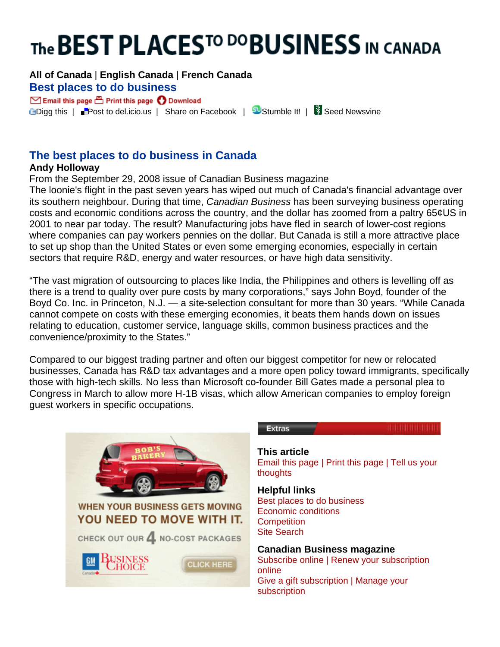# The BEST PLACES<sup>TO DO</sup>BUSINESS IN CANADA

## **[All of Canada](http://list.canadianbusiness.com/rankings/best-places-to-do-business/2008/)** | **[English Canada](http://list.canadianbusiness.com/rankings/best-places-to-do-business/2008/english-canada/)** | **[French Canada](http://list.canadianbusiness.com/rankings/best-places-to-do-business/2008/french-canada/) [Best places](javascript:void window.open() [to do busin](javascript:void window.open()[ess](http://list.canadianbusiness.com/rankings/best-places-to-do-business/2008/include/Best_Places_To_Do_Business_In_Canada.xls)**

 $\boxdot$  Email this page  $\boxdot$  Print this page  $\bigcirc$  Download **L**[Digg this](javascript:location.href=) | [Post to del.icio.us](javascript:location.href=) | [Share on Facebook](http://www.facebook.com/share.php?u=%3Curl%3E) | [Stumble It!](http://www.stumbleupon.com/) | Staed Newsvine

# **The best places to do business in Canada**

## **Andy Holloway**

From the September 29, 2008 issue of Canadian Business magazine

The loonie's flight in the past seven years has wiped out much of Canada's financial advantage over its southern neighbour. During that time, *Canadian Business* has been surveying business operating costs and economic conditions across the country, and the dollar has zoomed from a paltry 65¢US in 2001 to near par today. The result? Manufacturing jobs have fled in search of lower-cost regions where companies can pay workers pennies on the dollar. But Canada is still a more attractive place to set up shop than the United States or even some emerging economies, especially in certain sectors that require R&D, energy and water resources, or have high data sensitivity.

"The vast migration of outsourcing to places like India, the Philippines and others is levelling off as there is a trend to quality over pure costs by many corporations," says John Boyd, founder of the Boyd Co. Inc. in Princeton, N.J. — a site-selection consultant for more than 30 years. "While Canada cannot compete on costs with these emerging economies, it beats them hands down on issues relating to education, customer service, language skills, common business practices and the convenience/proximity to the States."

Compared to our biggest trading partner and often our biggest competitor for new or relocated businesses, Canada has R&D tax advantages and a more open policy toward immigrants, specifically those with high-tech skills. No less than Microsoft co-founder Bill Gates made a personal plea to Congress in March to allow more H-1B visas, which allow American companies to employ foreign guest workers in specific occupations.



### **Extras**

**This article** [Email this page](javascript:%20emailArticle() | [Print this page](javascript:%20printWindow() | [Tell us your](mailto:help@canadianbusiness.com)  [thoughts](mailto:help@canadianbusiness.com) 

**Helpful links** [Best places to do business](javascript:%20runSearch() [Economic conditions](javascript:%20runSearch() **[Competition](javascript:%20runSearch()** [Site Search](http://search.canadianbusiness.com/searchAdvanced.asp)

### **Canadian Business magazine**

Subscribe online | Renew your subscription online Give a gift subscription | Manage your subscription